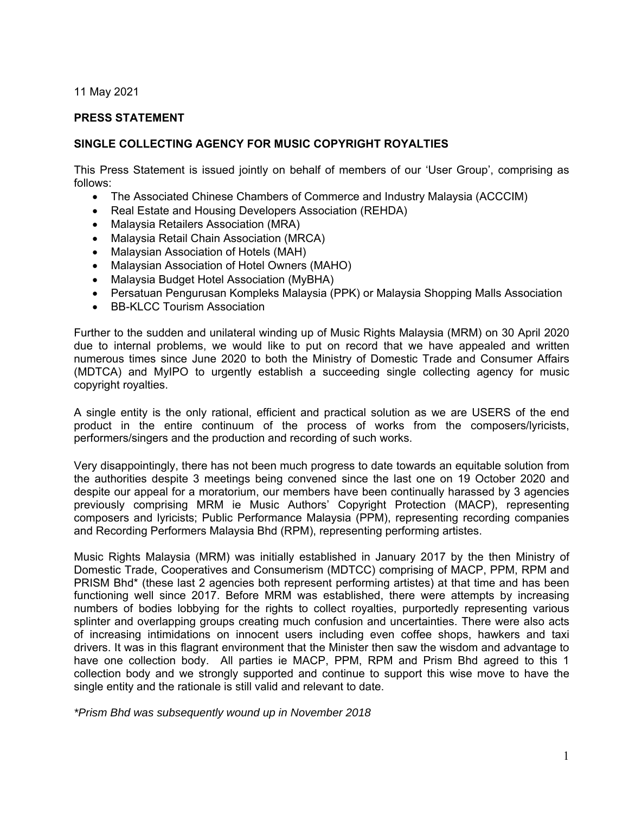11 May 2021

### **PRESS STATEMENT**

#### **SINGLE COLLECTING AGENCY FOR MUSIC COPYRIGHT ROYALTIES**

This Press Statement is issued jointly on behalf of members of our 'User Group', comprising as follows:

- The Associated Chinese Chambers of Commerce and Industry Malaysia (ACCCIM)
- Real Estate and Housing Developers Association (REHDA)
- Malaysia Retailers Association (MRA)
- Malaysia Retail Chain Association (MRCA)
- Malaysian Association of Hotels (MAH)
- Malaysian Association of Hotel Owners (MAHO)
- Malaysia Budget Hotel Association (MyBHA)
- Persatuan Pengurusan Kompleks Malaysia (PPK) or Malaysia Shopping Malls Association
- BB-KLCC Tourism Association

Further to the sudden and unilateral winding up of Music Rights Malaysia (MRM) on 30 April 2020 due to internal problems, we would like to put on record that we have appealed and written numerous times since June 2020 to both the Ministry of Domestic Trade and Consumer Affairs (MDTCA) and MyIPO to urgently establish a succeeding single collecting agency for music copyright royalties.

A single entity is the only rational, efficient and practical solution as we are USERS of the end product in the entire continuum of the process of works from the composers/lyricists, performers/singers and the production and recording of such works.

Very disappointingly, there has not been much progress to date towards an equitable solution from the authorities despite 3 meetings being convened since the last one on 19 October 2020 and despite our appeal for a moratorium, our members have been continually harassed by 3 agencies previously comprising MRM ie Music Authors' Copyright Protection (MACP), representing composers and lyricists; Public Performance Malaysia (PPM), representing recording companies and Recording Performers Malaysia Bhd (RPM), representing performing artistes.

Music Rights Malaysia (MRM) was initially established in January 2017 by the then Ministry of Domestic Trade, Cooperatives and Consumerism (MDTCC) comprising of MACP, PPM, RPM and PRISM Bhd\* (these last 2 agencies both represent performing artistes) at that time and has been functioning well since 2017. Before MRM was established, there were attempts by increasing numbers of bodies lobbying for the rights to collect royalties, purportedly representing various splinter and overlapping groups creating much confusion and uncertainties. There were also acts of increasing intimidations on innocent users including even coffee shops, hawkers and taxi drivers. It was in this flagrant environment that the Minister then saw the wisdom and advantage to have one collection body. All parties ie MACP, PPM, RPM and Prism Bhd agreed to this 1 collection body and we strongly supported and continue to support this wise move to have the single entity and the rationale is still valid and relevant to date.

*\*Prism Bhd was subsequently wound up in November 2018*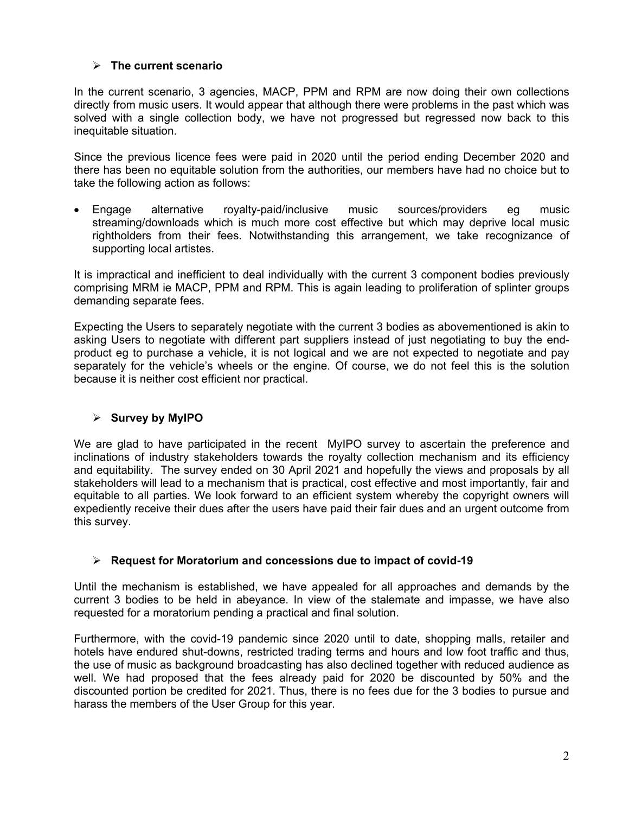## **The current scenario**

In the current scenario, 3 agencies, MACP, PPM and RPM are now doing their own collections directly from music users. It would appear that although there were problems in the past which was solved with a single collection body, we have not progressed but regressed now back to this inequitable situation.

Since the previous licence fees were paid in 2020 until the period ending December 2020 and there has been no equitable solution from the authorities, our members have had no choice but to take the following action as follows:

 Engage alternative royalty-paid/inclusive music sources/providers eg music streaming/downloads which is much more cost effective but which may deprive local music rightholders from their fees. Notwithstanding this arrangement, we take recognizance of supporting local artistes.

It is impractical and inefficient to deal individually with the current 3 component bodies previously comprising MRM ie MACP, PPM and RPM. This is again leading to proliferation of splinter groups demanding separate fees.

Expecting the Users to separately negotiate with the current 3 bodies as abovementioned is akin to asking Users to negotiate with different part suppliers instead of just negotiating to buy the endproduct eg to purchase a vehicle, it is not logical and we are not expected to negotiate and pay separately for the vehicle's wheels or the engine. Of course, we do not feel this is the solution because it is neither cost efficient nor practical.

# **Survey by MyIPO**

We are glad to have participated in the recent MyIPO survey to ascertain the preference and inclinations of industry stakeholders towards the royalty collection mechanism and its efficiency and equitability. The survey ended on 30 April 2021 and hopefully the views and proposals by all stakeholders will lead to a mechanism that is practical, cost effective and most importantly, fair and equitable to all parties. We look forward to an efficient system whereby the copyright owners will expediently receive their dues after the users have paid their fair dues and an urgent outcome from this survey.

## **Request for Moratorium and concessions due to impact of covid-19**

Until the mechanism is established, we have appealed for all approaches and demands by the current 3 bodies to be held in abeyance. In view of the stalemate and impasse, we have also requested for a moratorium pending a practical and final solution.

Furthermore, with the covid-19 pandemic since 2020 until to date, shopping malls, retailer and hotels have endured shut-downs, restricted trading terms and hours and low foot traffic and thus, the use of music as background broadcasting has also declined together with reduced audience as well. We had proposed that the fees already paid for 2020 be discounted by 50% and the discounted portion be credited for 2021. Thus, there is no fees due for the 3 bodies to pursue and harass the members of the User Group for this year.